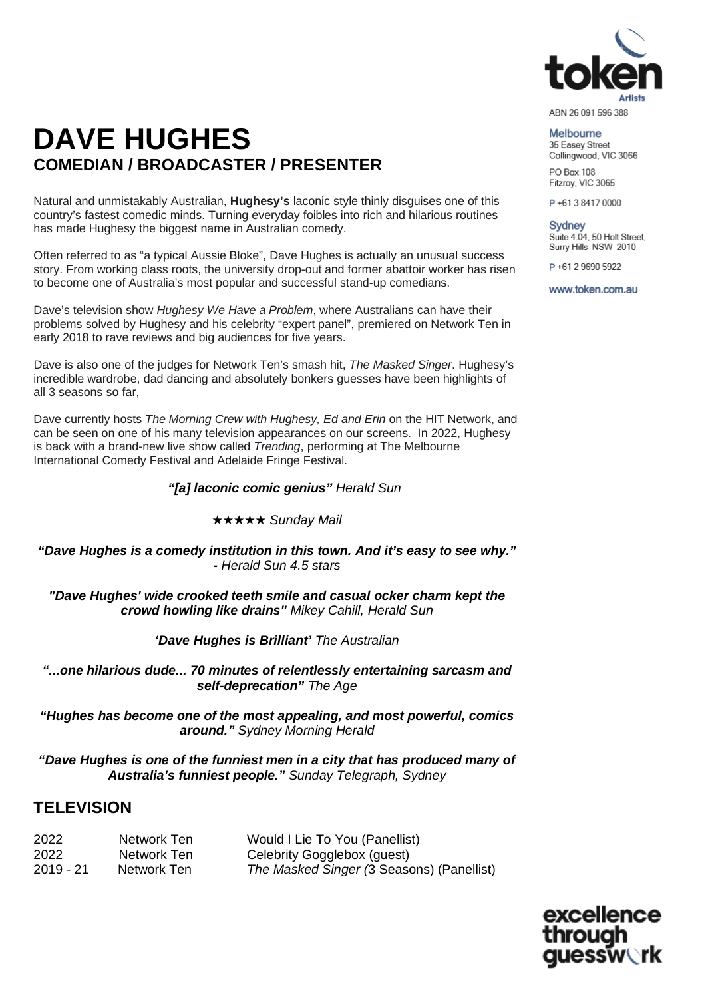

#### Melbourne

35 Easey Street Collingwood, VIC 3066 PO Box 108 Fitzroy, VIC 3065

P+61384170000

**Sydney** Suite 4.04, 50 Holt Street, Surry Hills NSW 2010

P+61 2 9690 5922

www.token.com.au

# **DAVE HUGHES COMEDIAN / BROADCASTER / PRESENTER**

Natural and unmistakably Australian, **Hughesy's** laconic style thinly disguises one of this country's fastest comedic minds. Turning everyday foibles into rich and hilarious routines has made Hughesy the biggest name in Australian comedy.

Often referred to as "a typical Aussie Bloke", Dave Hughes is actually an unusual success story. From working class roots, the university drop-out and former abattoir worker has risen to become one of Australia's most popular and successful stand-up comedians.

Dave's television show *Hughesy We Have a Problem*, where Australians can have their problems solved by Hughesy and his celebrity "expert panel", premiered on Network Ten in early 2018 to rave reviews and big audiences for five years.

Dave is also one of the judges for Network Ten's smash hit, *The Masked Singer*. Hughesy's incredible wardrobe, dad dancing and absolutely bonkers guesses have been highlights of all 3 seasons so far,

Dave currently hosts *The Morning Crew with Hughesy, Ed and Erin* on the HIT Network, and can be seen on one of his many television appearances on our screens. In 2022, Hughesy is back with a brand-new live show called *Trending*, performing at The Melbourne International Comedy Festival and Adelaide Fringe Festival.

### *"[a] laconic comic genius" Herald Sun*

★★★★★ *Sunday Mail*

*"Dave Hughes is a comedy institution in this town. And it's easy to see why." - Herald Sun 4.5 stars*

*"Dave Hughes' wide crooked teeth smile and casual ocker charm kept the crowd howling like drains" Mikey Cahill, Herald Sun*

*'Dave Hughes is Brilliant' The Australian*

*"...one hilarious dude... 70 minutes of relentlessly entertaining sarcasm and self-deprecation" The Age*

*"Hughes has become one of the most appealing, and most powerful, comics around." Sydney Morning Herald*

*"Dave Hughes is one of the funniest men in a city that has produced many of Australia's funniest people." Sunday Telegraph, Sydney*

## **TELEVISION**

2022 **Network Ten** Would I Lie To You (Panellist)<br>2022 Metwork Ten Celebrity Gogalebox (quest) 2022 Network Ten Celebrity Gogglebox (guest) 2019 - 21 Network Ten *The Masked Singer (*3 Seasons) (Panellist)

excellence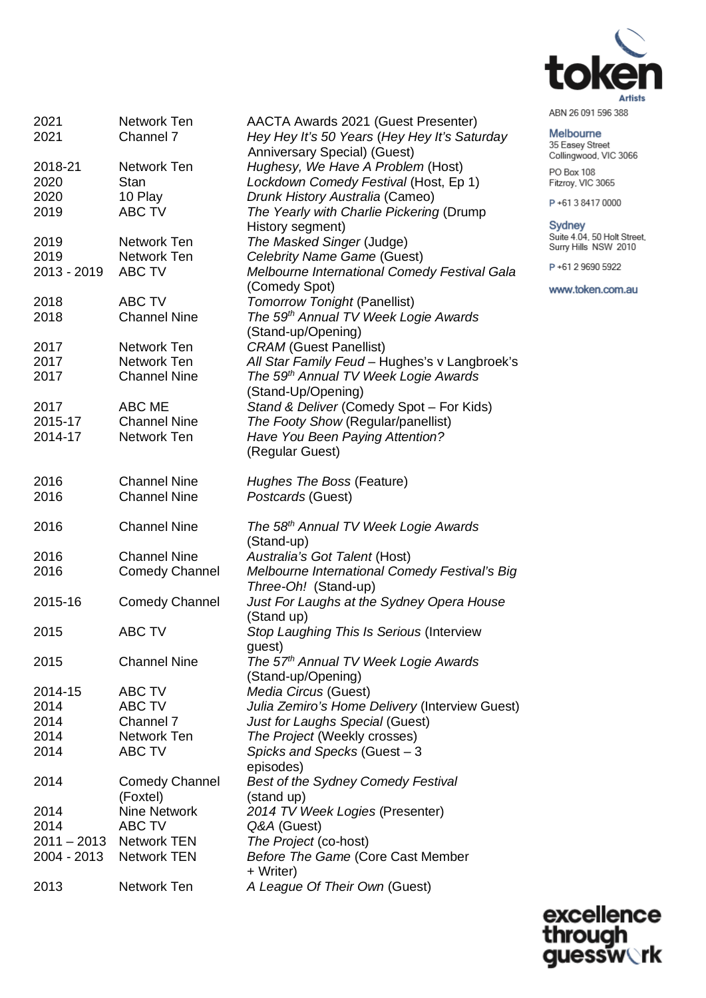

#### Melbourne

35 Easey Street Collingwood, VIC 3066 PO Box 108 Fitzroy, VIC 3065

P+61384170000

Sydney Suite 4.04, 50 Holt Street,<br>Surry Hills NSW 2010

P+61 2 9690 5922

www.token.com.au

| 2021        | Network Ten             | AACTA Awards 2021 (Guest Presenter)              |
|-------------|-------------------------|--------------------------------------------------|
| 2021        | Channel 7               | Hey Hey It's 50 Years (Hey Hey It's Saturday     |
|             |                         | Anniversary Special) (Guest)                     |
| 2018-21     | Network Ten             | Hughesy, We Have A Problem (Host)                |
| 2020        | Stan                    | Lockdown Comedy Festival (Host, Ep 1)            |
| 2020        | 10 Play                 | Drunk History Australia (Cameo)                  |
| 2019        | <b>ABC TV</b>           | The Yearly with Charlie Pickering (Drump         |
|             |                         | History segment)                                 |
| 2019        | Network Ten             | The Masked Singer (Judge)                        |
| 2019        | Network Ten             | Celebrity Name Game (Guest)                      |
| 2013 - 2019 | <b>ABC TV</b>           | Melbourne International Comedy Festival Gala     |
|             |                         |                                                  |
|             |                         | (Comedy Spot)                                    |
| 2018        | ABC TV                  | <b>Tomorrow Tonight (Panellist)</b>              |
| 2018        | <b>Channel Nine</b>     | The 59 <sup>th</sup> Annual TV Week Logie Awards |
|             |                         | (Stand-up/Opening)                               |
| 2017        | Network Ten             | <b>CRAM</b> (Guest Panellist)                    |
| 2017        | Network Ten             | All Star Family Feud - Hughes's v Langbroek's    |
| 2017        | <b>Channel Nine</b>     | The 59th Annual TV Week Logie Awards             |
|             |                         | (Stand-Up/Opening)                               |
| 2017        | ABC ME                  | Stand & Deliver (Comedy Spot - For Kids)         |
| 2015-17     | <b>Channel Nine</b>     | The Footy Show (Regular/panellist)               |
| 2014-17     | Network Ten             | Have You Been Paying Attention?                  |
|             |                         | (Regular Guest)                                  |
|             |                         |                                                  |
| 2016        | <b>Channel Nine</b>     | Hughes The Boss (Feature)                        |
| 2016        | <b>Channel Nine</b>     | Postcards (Guest)                                |
|             |                         |                                                  |
| 2016        | <b>Channel Nine</b>     | The 58 <sup>th</sup> Annual TV Week Logie Awards |
|             |                         | (Stand-up)                                       |
| 2016        | <b>Channel Nine</b>     | Australia's Got Talent (Host)                    |
| 2016        | <b>Comedy Channel</b>   | Melbourne International Comedy Festival's Big    |
|             |                         | Three-Oh! (Stand-up)                             |
| 2015-16     | <b>Comedy Channel</b>   | Just For Laughs at the Sydney Opera House        |
|             |                         |                                                  |
|             |                         | (Stand up)                                       |
| 2015        | <b>ABC TV</b>           | Stop Laughing This Is Serious (Interview         |
|             |                         | guest)                                           |
| 2015        | <b>Channel Nine</b>     | The 57 <sup>th</sup> Annual TV Week Logie Awards |
|             |                         | (Stand-up/Opening)                               |
| 2014-15     | ABC TV                  | Media Circus (Guest)                             |
| 2014        | ABC TV                  | Julia Zemiro's Home Delivery (Interview Guest)   |
| 2014        | Channel 7               | Just for Laughs Special (Guest)                  |
| 2014        | Network Ten             | The Project (Weekly crosses)                     |
| 2014        | <b>ABC TV</b>           | Spicks and Specks (Guest - 3                     |
|             |                         | episodes)                                        |
| 2014        | <b>Comedy Channel</b>   | <b>Best of the Sydney Comedy Festival</b>        |
|             | (Foxtel)                | (stand up)                                       |
| 2014        | <b>Nine Network</b>     | 2014 TV Week Logies (Presenter)                  |
| 2014        | ABC TV                  | Q&A (Guest)                                      |
|             | 2011 - 2013 Network TEN | The Project (co-host)                            |
| 2004 - 2013 | <b>Network TEN</b>      | Before The Game (Core Cast Member                |
|             |                         | + Writer)                                        |
| 2013        | Network Ten             | A League Of Their Own (Guest)                    |
|             |                         |                                                  |

excellence<br>through<br>guessw**ork**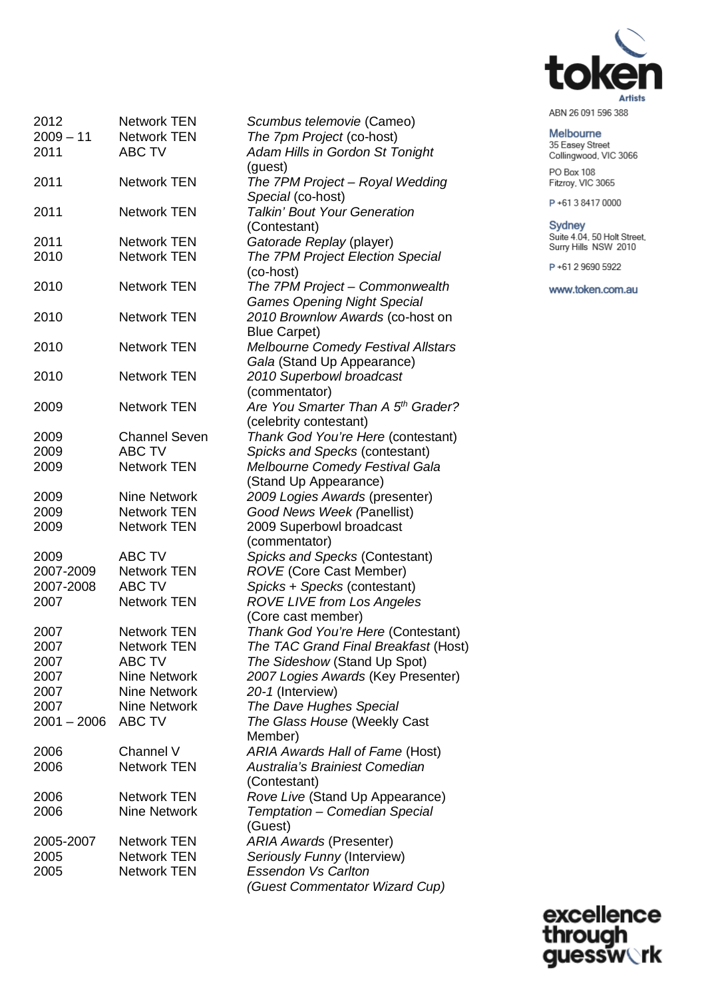

Melbourne<br>35 Easey Street Collingwood, VIC 3066 PO Box 108 Fitzroy, VIC 3065

P+61384170000

Sydney Suite 4.04, 50 Holt Street,<br>Surry Hills NSW 2010

P+61 2 9690 5922

www.token.com.au

| 2012          | <b>Network TEN</b>   | Scumbus telemovie (Cameo)                      |
|---------------|----------------------|------------------------------------------------|
| $2009 - 11$   | <b>Network TEN</b>   | The 7pm Project (co-host)                      |
| 2011          | <b>ABC TV</b>        | Adam Hills in Gordon St Tonight                |
|               |                      | (guest)                                        |
| 2011          | <b>Network TEN</b>   | The 7PM Project - Royal Wedding                |
|               |                      | Special (co-host)                              |
| 2011          | <b>Network TEN</b>   | <b>Talkin' Bout Your Generation</b>            |
|               |                      | (Contestant)                                   |
| 2011          | <b>Network TEN</b>   | Gatorade Replay (player)                       |
| 2010          | <b>Network TEN</b>   | The 7PM Project Election Special               |
|               |                      | (co-host)                                      |
|               | <b>Network TEN</b>   |                                                |
| 2010          |                      | The 7PM Project - Commonwealth                 |
|               |                      | <b>Games Opening Night Special</b>             |
| 2010          | <b>Network TEN</b>   | 2010 Brownlow Awards (co-host on               |
|               |                      | <b>Blue Carpet)</b>                            |
| 2010          | <b>Network TEN</b>   | <b>Melbourne Comedy Festival Allstars</b>      |
|               |                      | Gala (Stand Up Appearance)                     |
| 2010          | <b>Network TEN</b>   | 2010 Superbowl broadcast                       |
|               |                      | (commentator)                                  |
| 2009          | <b>Network TEN</b>   | Are You Smarter Than A 5 <sup>th</sup> Grader? |
|               |                      |                                                |
|               |                      | (celebrity contestant)                         |
| 2009          | <b>Channel Seven</b> | Thank God You're Here (contestant)             |
| 2009          | <b>ABC TV</b>        | Spicks and Specks (contestant)                 |
| 2009          | <b>Network TEN</b>   | Melbourne Comedy Festival Gala                 |
|               |                      | (Stand Up Appearance)                          |
| 2009          | <b>Nine Network</b>  | 2009 Logies Awards (presenter)                 |
| 2009          | <b>Network TEN</b>   | Good News Week (Panellist)                     |
| 2009          | <b>Network TEN</b>   | 2009 Superbowl broadcast                       |
|               |                      | (commentator)                                  |
| 2009          | <b>ABC TV</b>        | Spicks and Specks (Contestant)                 |
|               |                      |                                                |
| 2007-2009     | <b>Network TEN</b>   | <b>ROVE</b> (Core Cast Member)                 |
| 2007-2008     | <b>ABC TV</b>        | Spicks + Specks (contestant)                   |
| 2007          | <b>Network TEN</b>   | <b>ROVE LIVE from Los Angeles</b>              |
|               |                      | (Core cast member)                             |
| 2007          | <b>Network TEN</b>   | Thank God You're Here (Contestant)             |
| 2007          | <b>Network TEN</b>   | The TAC Grand Final Breakfast (Host)           |
| 2007          | <b>ABC TV</b>        | The Sideshow (Stand Up Spot)                   |
| 2007          | <b>Nine Network</b>  | 2007 Logies Awards (Key Presenter)             |
| 2007          | Nine Network         | 20-1 (Interview)                               |
| 2007          | Nine Network         | The Dave Hughes Special                        |
|               |                      |                                                |
| $2001 - 2006$ | <b>ABC TV</b>        | The Glass House (Weekly Cast                   |
|               |                      | Member)                                        |
| 2006          | Channel V            | ARIA Awards Hall of Fame (Host)                |
| 2006          | <b>Network TEN</b>   | Australia's Brainiest Comedian                 |
|               |                      | (Contestant)                                   |
| 2006          | <b>Network TEN</b>   | Rove Live (Stand Up Appearance)                |
| 2006          | <b>Nine Network</b>  | Temptation - Comedian Special                  |
|               |                      | (Guest)                                        |
| 2005-2007     | <b>Network TEN</b>   | <b>ARIA Awards (Presenter)</b>                 |
| 2005          | Network TEN          | Seriously Funny (Interview)                    |
|               |                      | <b>Essendon Vs Carlton</b>                     |
| 2005          | <b>Network TEN</b>   |                                                |
|               |                      | (Guest Commentator Wizard Cup)                 |

excellence<br>through<br>guessw**ork**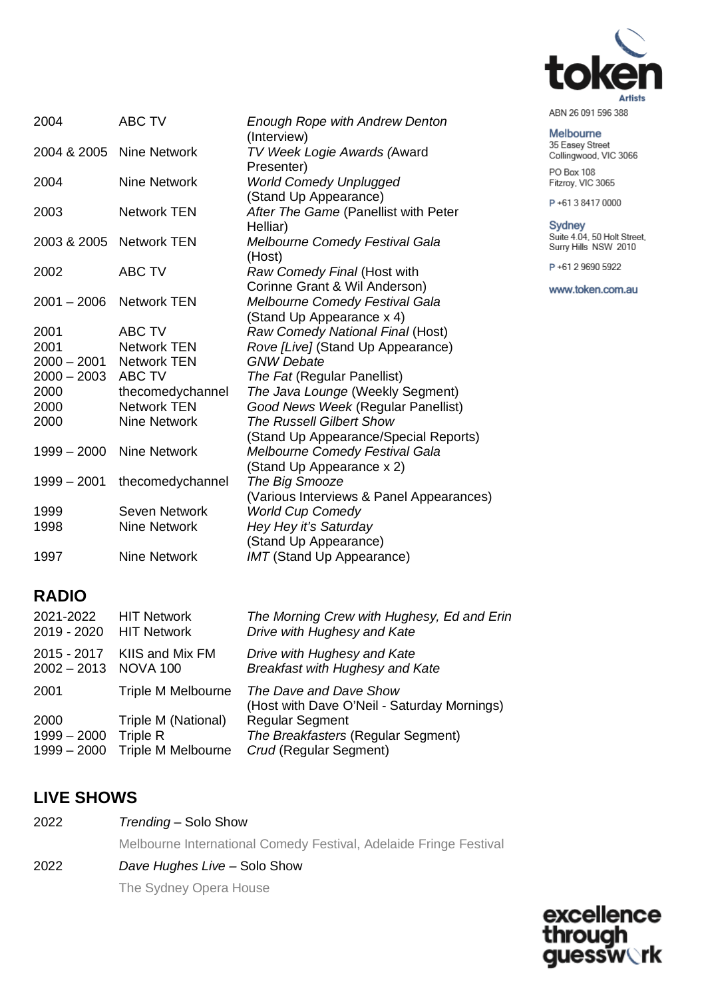

## Melbourne

35 Easey Street Collingwood, VIC 3066 PO Box 108 Fitzroy, VIC 3065

P+61384170000

Sydney Suite 4.04, 50 Holt Street,<br>Surry Hills NSW 2010

P+61 2 9690 5922

www.token.com.au

| 2004          | <b>ABC TV</b>            | <b>Enough Rope with Andrew Denton</b><br>(Interview) |
|---------------|--------------------------|------------------------------------------------------|
|               | 2004 & 2005 Nine Network | TV Week Logie Awards (Award                          |
|               |                          | Presenter)                                           |
| 2004          | Nine Network             | <b>World Comedy Unplugged</b>                        |
|               |                          | (Stand Up Appearance)                                |
| 2003          | <b>Network TEN</b>       | After The Game (Panellist with Peter                 |
|               |                          | Helliar)                                             |
|               | 2003 & 2005 Network TEN  | <b>Melbourne Comedy Festival Gala</b>                |
|               |                          | (Host)                                               |
| 2002          | <b>ABC TV</b>            | Raw Comedy Final (Host with                          |
|               |                          | Corinne Grant & Wil Anderson)                        |
|               | 2001 - 2006 Network TEN  | Melbourne Comedy Festival Gala                       |
|               |                          | (Stand Up Appearance x 4)                            |
| 2001          | <b>ABC TV</b>            | Raw Comedy National Final (Host)                     |
| 2001          | <b>Network TEN</b>       | Rove [Live] (Stand Up Appearance)                    |
| $2000 - 2001$ | <b>Network TEN</b>       | <b>GNW Debate</b>                                    |
| $2000 - 2003$ | <b>ABC TV</b>            | The Fat (Regular Panellist)                          |
| 2000          | thecomedychannel         | The Java Lounge (Weekly Segment)                     |
| 2000          | <b>Network TEN</b>       | Good News Week (Regular Panellist)                   |
| 2000          | <b>Nine Network</b>      | <b>The Russell Gilbert Show</b>                      |
|               |                          | (Stand Up Appearance/Special Reports)                |
| $1999 - 2000$ | <b>Nine Network</b>      | Melbourne Comedy Festival Gala                       |
|               |                          | (Stand Up Appearance x 2)                            |
| $1999 - 2001$ | thecomedychannel         | The Big Smooze                                       |
|               |                          | (Various Interviews & Panel Appearances)             |
| 1999          | Seven Network            | <b>World Cup Comedy</b>                              |
| 1998          | <b>Nine Network</b>      | Hey Hey it's Saturday                                |
|               |                          | (Stand Up Appearance)                                |
| 1997          | <b>Nine Network</b>      | <b>IMT</b> (Stand Up Appearance)                     |

## **RADIO**

| 2021-2022<br>2019 - 2020               | <b>HIT Network</b><br><b>HIT Network</b>                     | The Morning Crew with Hughesy, Ed and Erin<br>Drive with Hughesy and Kate              |
|----------------------------------------|--------------------------------------------------------------|----------------------------------------------------------------------------------------|
| 2015 - 2017<br>2002-2013 NOVA 100      | KIIS and Mix FM                                              | Drive with Hughesy and Kate<br><b>Breakfast with Hughesy and Kate</b>                  |
| 2001                                   | <b>Triple M Melbourne</b>                                    | The Dave and Dave Show<br>(Host with Dave O'Neil - Saturday Mornings)                  |
| 2000<br>$1999 - 2000$<br>$1999 - 2000$ | Triple M (National)<br><b>Triple R</b><br>Triple M Melbourne | <b>Regular Segment</b><br>The Breakfasters (Regular Segment)<br>Crud (Regular Segment) |
|                                        |                                                              |                                                                                        |

## **LIVE SHOWS**

2022 *Trending* – Solo Show

Melbourne International Comedy Festival, Adelaide Fringe Festival

2022 *Dave Hughes Live –* Solo Show

The Sydney Opera House

excellence through<br>guessw**rk**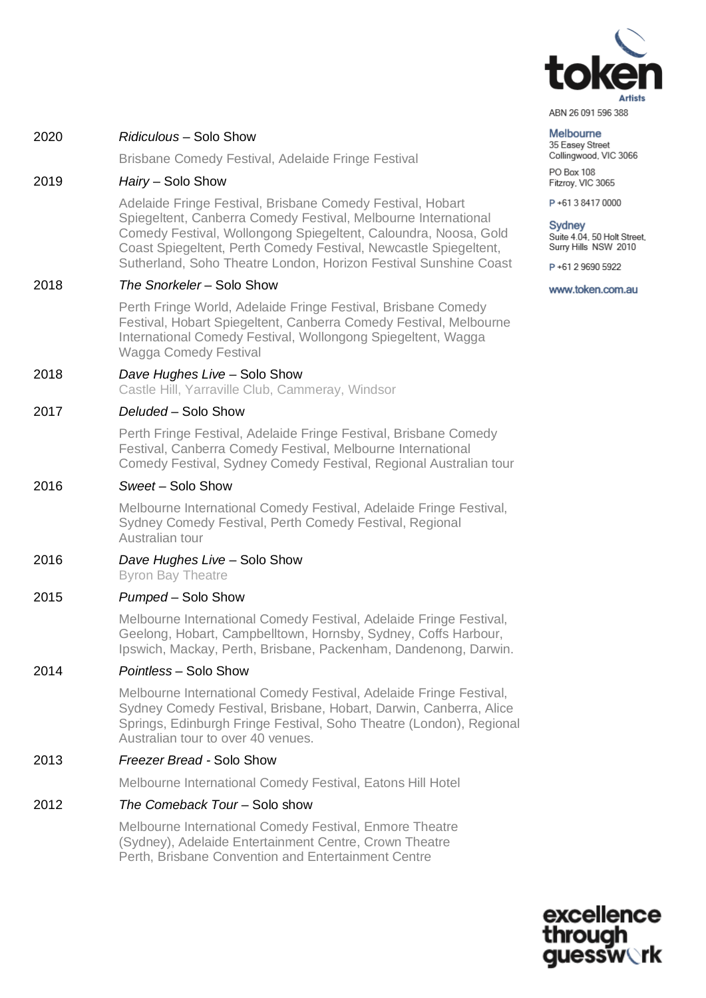

#### Melbourne

35 Easey Street Collingwood, VIC 3066 PO Box 108 Fitzroy, VIC 3065

P+61384170000

#### **Sydney**

Suite 4.04, 50 Holt Street, Surry Hills NSW 2010

P+61 2 9690 5922

www.token.com.au

#### 2020 *Ridiculous* – Solo Show

Brisbane Comedy Festival, Adelaide Fringe Festival

#### 2019 *Hairy* – Solo Show

Adelaide Fringe Festival, Brisbane Comedy Festival, Hobart Spiegeltent, Canberra Comedy Festival, Melbourne International Comedy Festival, Wollongong Spiegeltent, Caloundra, Noosa, Gold Coast Spiegeltent, Perth Comedy Festival, Newcastle Spiegeltent, Sutherland, Soho Theatre London, Horizon Festival Sunshine Coast

#### 2018 *The Snorkeler* – Solo Show

Perth Fringe World, Adelaide Fringe Festival, Brisbane Comedy Festival, Hobart Spiegeltent, Canberra Comedy Festival, Melbourne International Comedy Festival, Wollongong Spiegeltent, Wagga Wagga Comedy Festival

## 2018 *Dave Hughes Live* – Solo Show

Castle Hill, Yarraville Club, Cammeray, Windsor

#### 2017 *Deluded* – Solo Show

Perth Fringe Festival, Adelaide Fringe Festival, Brisbane Comedy Festival, Canberra Comedy Festival, Melbourne International Comedy Festival, Sydney Comedy Festival, Regional Australian tour

#### 2016 *Sweet* – Solo Show

Melbourne International Comedy Festival, Adelaide Fringe Festival, Sydney Comedy Festival, Perth Comedy Festival, Regional Australian tour

#### 2016 *Dave Hughes Live* – Solo Show Byron Bay Theatre

#### 2015 *Pumped* – Solo Show

Melbourne International Comedy Festival, Adelaide Fringe Festival, Geelong, Hobart, Campbelltown, Hornsby, Sydney, Coffs Harbour, Ipswich, Mackay, Perth, Brisbane, Packenham, Dandenong, Darwin.

#### 2014 *Pointless* – Solo Show

Melbourne International Comedy Festival, Adelaide Fringe Festival, Sydney Comedy Festival, Brisbane, Hobart, Darwin, Canberra, Alice Springs, Edinburgh Fringe Festival, Soho Theatre (London), Regional Australian tour to over 40 venues.

#### 2013 *Freezer Bread -* Solo Show

Melbourne International Comedy Festival, Eatons Hill Hotel

#### 2012 *The Comeback Tour* – Solo show

Melbourne International Comedy Festival, Enmore Theatre (Sydney), Adelaide Entertainment Centre, Crown Theatre Perth, Brisbane Convention and Entertainment Centre

> excellence **Iessw\`rk**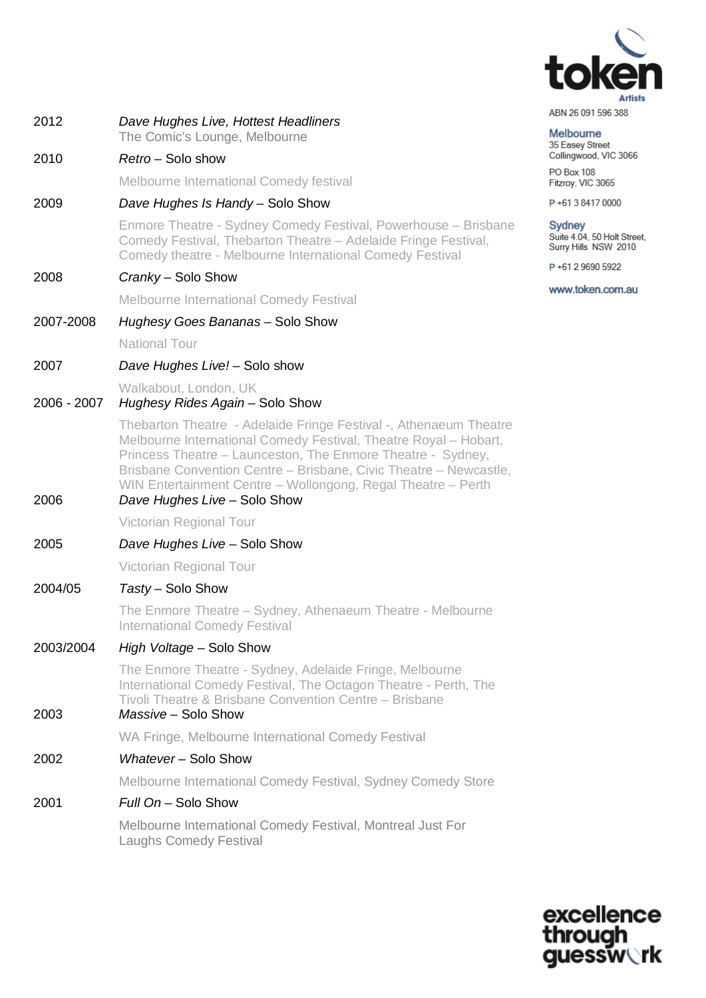

| 2012        | Dave Hughes Live, Hottest Headliners                                                                                                                                                                                                                                                                                                                                      | <b>HDIA YO AS LOGO DOO</b><br><b>Melbourne</b>                       |
|-------------|---------------------------------------------------------------------------------------------------------------------------------------------------------------------------------------------------------------------------------------------------------------------------------------------------------------------------------------------------------------------------|----------------------------------------------------------------------|
| 2010        | The Comic's Lounge, Melbourne<br>Retro - Solo show                                                                                                                                                                                                                                                                                                                        | 35 Easey Street<br>Collingwood, VIC 3066                             |
|             | Melbourne International Comedy festival                                                                                                                                                                                                                                                                                                                                   | PO Box 108                                                           |
| 2009        | Dave Hughes Is Handy - Solo Show                                                                                                                                                                                                                                                                                                                                          | Fitzroy, VIC 3065<br>P+61384170000                                   |
|             |                                                                                                                                                                                                                                                                                                                                                                           |                                                                      |
|             | Enmore Theatre - Sydney Comedy Festival, Powerhouse - Brisbane<br>Comedy Festival, Thebarton Theatre - Adelaide Fringe Festival,<br>Comedy theatre - Melbourne International Comedy Festival                                                                                                                                                                              | <b>Sydney</b><br>Suite 4.04, 50 Holt Street,<br>Surry Hills NSW 2010 |
| 2008        | Cranky - Solo Show                                                                                                                                                                                                                                                                                                                                                        | P+61 2 9690 5922                                                     |
|             | <b>Melbourne International Comedy Festival</b>                                                                                                                                                                                                                                                                                                                            | www.token.com.au                                                     |
| 2007-2008   | Hughesy Goes Bananas - Solo Show                                                                                                                                                                                                                                                                                                                                          |                                                                      |
|             | <b>National Tour</b>                                                                                                                                                                                                                                                                                                                                                      |                                                                      |
| 2007        | Dave Hughes Live! - Solo show                                                                                                                                                                                                                                                                                                                                             |                                                                      |
| 2006 - 2007 | Walkabout, London, UK<br>Hughesy Rides Again - Solo Show                                                                                                                                                                                                                                                                                                                  |                                                                      |
| 2006        | Thebarton Theatre - Adelaide Fringe Festival -, Athenaeum Theatre<br>Melbourne International Comedy Festival, Theatre Royal - Hobart,<br>Princess Theatre - Launceston, The Enmore Theatre - Sydney,<br>Brisbane Convention Centre - Brisbane, Civic Theatre - Newcastle,<br>WIN Entertainment Centre - Wollongong, Regal Theatre - Perth<br>Dave Hughes Live - Solo Show |                                                                      |
|             | Victorian Regional Tour                                                                                                                                                                                                                                                                                                                                                   |                                                                      |
| 2005        | Dave Hughes Live - Solo Show                                                                                                                                                                                                                                                                                                                                              |                                                                      |
|             | Victorian Regional Tour                                                                                                                                                                                                                                                                                                                                                   |                                                                      |
| 2004/05     | Tasty - Solo Show                                                                                                                                                                                                                                                                                                                                                         |                                                                      |
|             | The Enmore Theatre - Sydney, Athenaeum Theatre - Melbourne<br><b>International Comedy Festival</b>                                                                                                                                                                                                                                                                        |                                                                      |
| 2003/2004   | High Voltage - Solo Show                                                                                                                                                                                                                                                                                                                                                  |                                                                      |
| 2003        | The Enmore Theatre - Sydney, Adelaide Fringe, Melbourne<br>International Comedy Festival, The Octagon Theatre - Perth, The<br>Tivoli Theatre & Brisbane Convention Centre - Brisbane<br>Massive - Solo Show                                                                                                                                                               |                                                                      |
|             | WA Fringe, Melbourne International Comedy Festival                                                                                                                                                                                                                                                                                                                        |                                                                      |
| 2002        | Whatever-Solo Show                                                                                                                                                                                                                                                                                                                                                        |                                                                      |
|             | Melbourne International Comedy Festival, Sydney Comedy Store                                                                                                                                                                                                                                                                                                              |                                                                      |
| 2001        | Full On - Solo Show                                                                                                                                                                                                                                                                                                                                                       |                                                                      |
|             | Melbourne International Comedy Festival, Montreal Just For<br><b>Laughs Comedy Festival</b>                                                                                                                                                                                                                                                                               |                                                                      |
|             |                                                                                                                                                                                                                                                                                                                                                                           |                                                                      |

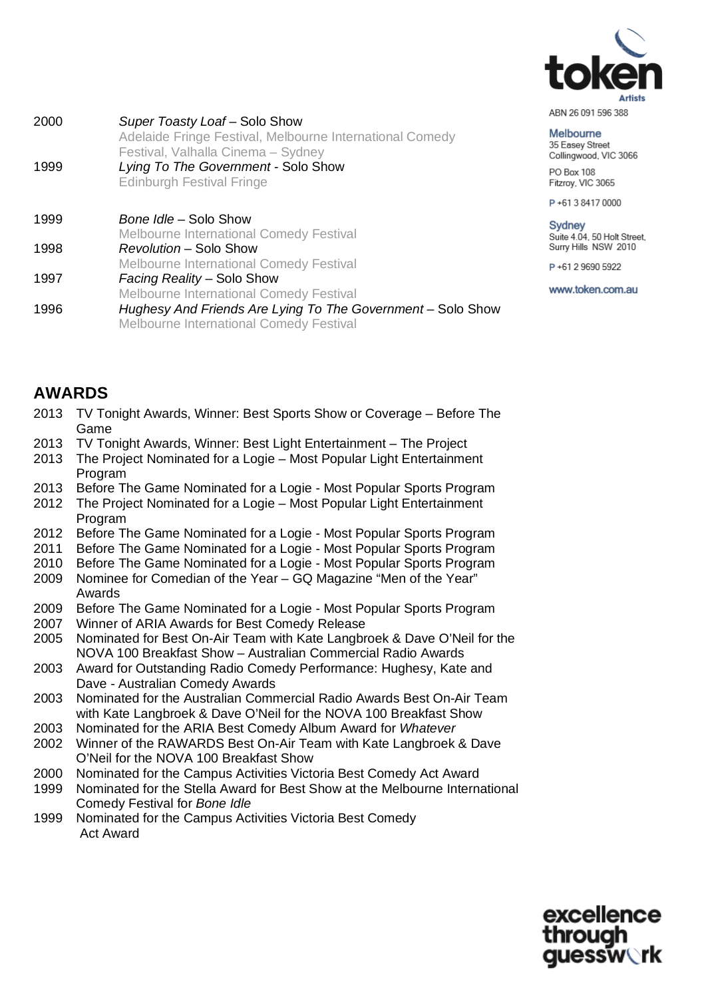

Melbourne 35 Easey Street Collingwood, VIC 3066 PO Box 108 Fitzroy, VIC 3065

P+61384170000

**Sydney** Suite 4.04, 50 Holt Street, Surry Hills NSW 2010

P+61 2 9690 5922

www.token.com.au

| 1999 | Adelaide Fringe Festival, Melbourne International Comedy<br>Festival, Valhalla Cinema - Sydney<br>Lying To The Government - Solo Show<br><b>Edinburgh Festival Fringe</b> |
|------|---------------------------------------------------------------------------------------------------------------------------------------------------------------------------|
| 1999 | Bone Idle – Solo Show                                                                                                                                                     |
|      | <b>Melbourne International Comedy Festival</b>                                                                                                                            |
| 1998 | Revolution – Solo Show                                                                                                                                                    |
|      | <b>Melbourne International Comedy Festival</b>                                                                                                                            |
| 1997 | Facing Reality – Solo Show                                                                                                                                                |
|      | <b>Melbourne International Comedy Festival</b>                                                                                                                            |
| 1996 | Hughesy And Friends Are Lying To The Government - Solo Show<br>Melbourne International Comedy Festival                                                                    |

2000 *Super Toasty Loaf* – Solo Show

## **AWARDS**

- 2013 TV Tonight Awards, Winner: Best Sports Show or Coverage Before The Game
- 2013 TV Tonight Awards, Winner: Best Light Entertainment The Project
- 2013 The Project Nominated for a Logie Most Popular Light Entertainment Program
- 2013 Before The Game Nominated for a Logie Most Popular Sports Program
- 2012 The Project Nominated for a Logie Most Popular Light Entertainment Program
- 2012 Before The Game Nominated for a Logie Most Popular Sports Program
- 2011 Before The Game Nominated for a Logie Most Popular Sports Program
- 2010 Before The Game Nominated for a Logie Most Popular Sports Program
- 2009 Nominee for Comedian of the Year GQ Magazine "Men of the Year" Awards
- 2009 Before The Game Nominated for a Logie Most Popular Sports Program
- 2007 Winner of ARIA Awards for Best Comedy Release
- 2005 Nominated for Best On-Air Team with Kate Langbroek & Dave O'Neil for the NOVA 100 Breakfast Show – Australian Commercial Radio Awards
- 2003 Award for Outstanding Radio Comedy Performance: Hughesy, Kate and Dave - Australian Comedy Awards
- 2003 Nominated for the Australian Commercial Radio Awards Best On-Air Team with Kate Langbroek & Dave O'Neil for the NOVA 100 Breakfast Show
- 2003 Nominated for the ARIA Best Comedy Album Award for *Whatever*
- 2002 Winner of the RAWARDS Best On-Air Team with Kate Langbroek & Dave O'Neil for the NOVA 100 Breakfast Show
- 2000 Nominated for the Campus Activities Victoria Best Comedy Act Award
- 1999 Nominated for the Stella Award for Best Show at the Melbourne International Comedy Festival for *Bone Idle*
- 1999 Nominated for the Campus Activities Victoria Best Comedy Act Award

excellence